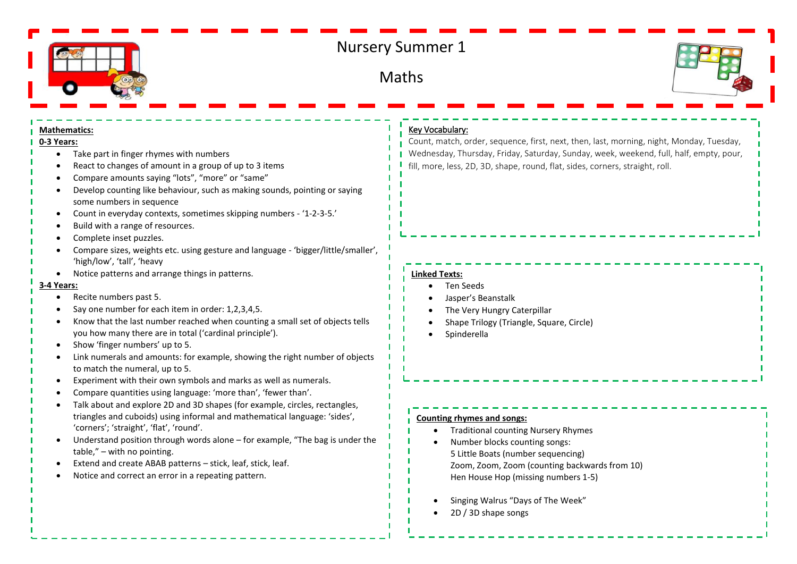

# Nursery Summer 1

**Maths** 



#### **Mathematics:**

# **0-3 Years:**

- Take part in finger rhymes with numbers
- React to changes of amount in a group of up to 3 items
- Compare amounts saying "lots", "more" or "same"
- Develop counting like behaviour, such as making sounds, pointing or saying some numbers in sequence
- Count in everyday contexts, sometimes skipping numbers '1-2-3-5.'
- Build with a range of resources.
- Complete inset puzzles.
- Compare sizes, weights etc. using gesture and language 'bigger/little/smaller', 'high/low', 'tall', 'heavy
- Notice patterns and arrange things in patterns.

### **3-4 Years:**

- Recite numbers past 5.
- Say one number for each item in order: 1,2,3,4,5.
- Know that the last number reached when counting a small set of objects tells you how many there are in total ('cardinal principle').
- Show 'finger numbers' up to 5.
- Link numerals and amounts: for example, showing the right number of objects to match the numeral, up to 5.
- Experiment with their own symbols and marks as well as numerals.
- Compare quantities using language: 'more than', 'fewer than'.
- Talk about and explore 2D and 3D shapes (for example, circles, rectangles, triangles and cuboids) using informal and mathematical language: 'sides', 'corners'; 'straight', 'flat', 'round'.
- Understand position through words alone for example, "The bag is under the table," – with no pointing.
- Extend and create ABAB patterns stick, leaf, stick, leaf.
- Notice and correct an error in a repeating pattern.

## Key Vocabulary:

Count, match, order, sequence, first, next, then, last, morning, night, Monday, Tuesday, Wednesday, Thursday, Friday, Saturday, Sunday, week, weekend, full, half, empty, pour, fill, more, less, 2D, 3D, shape, round, flat, sides, corners, straight, roll.

# **Linked Texts:**

- Ten Seeds
- Jasper's Beanstalk
- The Very Hungry Caterpillar
- Shape Trilogy (Triangle, Square, Circle)
- **Spinderella**

#### **Counting rhymes and songs:**

- Traditional counting Nursery Rhymes
- Number blocks counting songs: 5 Little Boats (number sequencing) Zoom, Zoom, Zoom (counting backwards from 10) Hen House Hop (missing numbers 1-5)
- Singing Walrus "Days of The Week"
- 2D / 3D shape songs